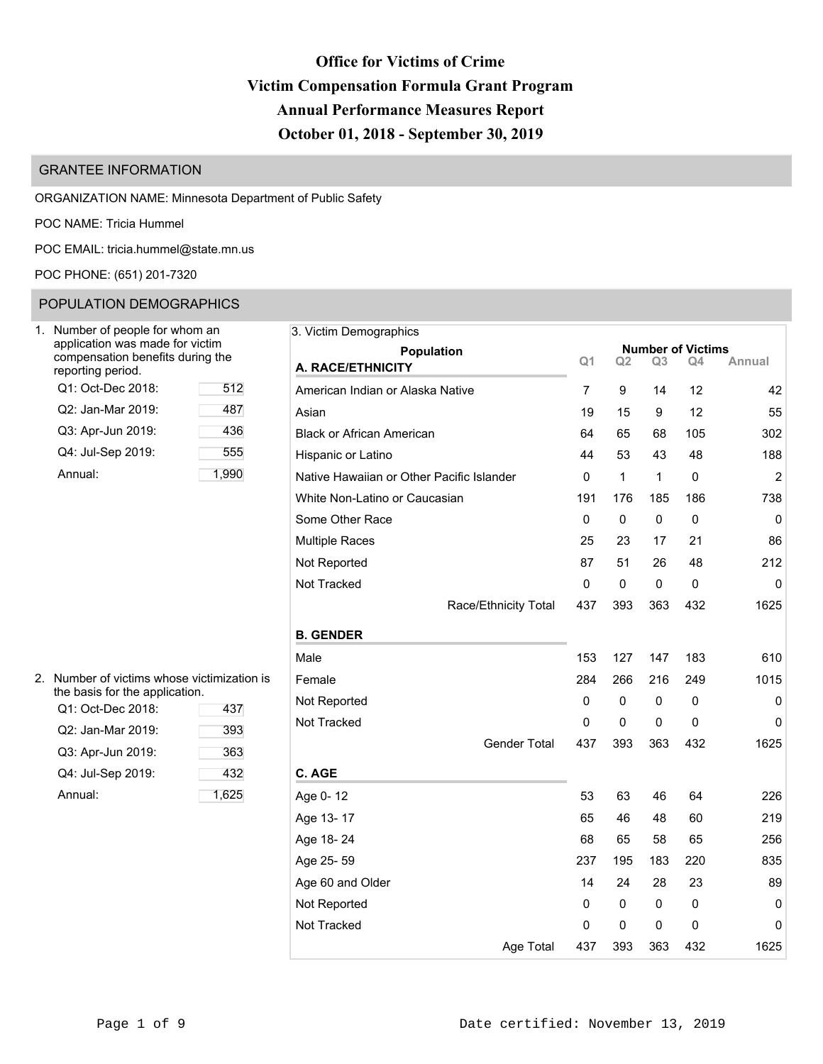# **Office for Victims of Crime Victim Compensation Formula Grant Program Annual Performance Measures Report October 01, 2018 - September 30, 2019**

# GRANTEE INFORMATION

ORGANIZATION NAME: Minnesota Department of Public Safety

POC NAME: Tricia Hummel

POC EMAIL: [tricia.hummel@state.mn.us](mailto:tricia.hummel@state.mn.us)

POC PHONE: (651) 201-7320

# POPULATION DEMOGRAPHICS

| Number of people for whom an<br>application was made for victim<br>compensation benefits during the<br>reporting period. |      |
|--------------------------------------------------------------------------------------------------------------------------|------|
| Q1: Oct-Dec 2018:                                                                                                        | 512  |
| Q2: Jan-Mar 2019:                                                                                                        | 487  |
| Q3: Apr-Jun 2019:                                                                                                        | 436  |
| Q4: Jul-Sep 2019:                                                                                                        | 555  |
| Annual:                                                                                                                  | 1.99 |

| 3. Victim Demographics                    |                |     |                |                                |        |
|-------------------------------------------|----------------|-----|----------------|--------------------------------|--------|
| Population                                | Q1             | Q2  | Q <sub>3</sub> | <b>Number of Victims</b><br>Q4 | Annual |
| A. RACE/ETHNICITY                         |                |     |                |                                |        |
| American Indian or Alaska Native          | $\overline{7}$ | 9   | 14             | 12                             | 42     |
| Asian                                     | 19             | 15  | 9              | 12                             | 55     |
| <b>Black or African American</b>          | 64             | 65  | 68             | 105                            | 302    |
| Hispanic or Latino                        | 44             | 53  | 43             | 48                             | 188    |
| Native Hawaiian or Other Pacific Islander | 0              | 1   | 1              | 0                              | 2      |
| White Non-Latino or Caucasian             | 191            | 176 | 185            | 186                            | 738    |
| Some Other Race                           | 0              | 0   | 0              | 0                              | 0      |
| <b>Multiple Races</b>                     | 25             | 23  | 17             | 21                             | 86     |
| Not Reported                              | 87             | 51  | 26             | 48                             | 212    |
| Not Tracked                               | 0              | 0   | 0              | 0                              | 0      |
| Race/Ethnicity Total                      | 437            | 393 | 363            | 432                            | 1625   |
| <b>B. GENDER</b>                          |                |     |                |                                |        |
| Male                                      | 153            | 127 | 147            | 183                            | 610    |
| Female                                    | 284            | 266 | 216            | 249                            | 1015   |
| Not Reported                              | 0              | 0   | 0              | 0                              | 0      |
| Not Tracked                               | 0              | 0   | 0              | 0                              | 0      |
| Gender Total                              | 437            | 393 | 363            | 432                            | 1625   |
| C. AGE                                    |                |     |                |                                |        |
| Age 0-12                                  | 53             | 63  | 46             | 64                             | 226    |
| Age 13-17                                 | 65             | 46  | 48             | 60                             | 219    |
| Age 18-24                                 | 68             | 65  | 58             | 65                             | 256    |
| Age 25-59                                 | 237            | 195 | 183            | 220                            | 835    |
| Age 60 and Older                          | 14             | 24  | 28             | 23                             | 89     |
| Not Reported                              | 0              | 0   | 0              | 0                              | 0      |
| Not Tracked                               | 0              | 0   | $\mathbf 0$    | 0                              | 0      |
| Age Total                                 | 437            | 393 | 363            | 432                            | 1625   |

| 2. Number of victims whose victimization is |
|---------------------------------------------|
| the basis for the application.              |

| Q1: Oct-Dec 2018: | 437   |
|-------------------|-------|
| Q2: Jan-Mar 2019: | 393   |
| Q3: Apr-Jun 2019: | 363   |
| Q4: Jul-Sep 2019: | 432   |
| Annual:           | 1,625 |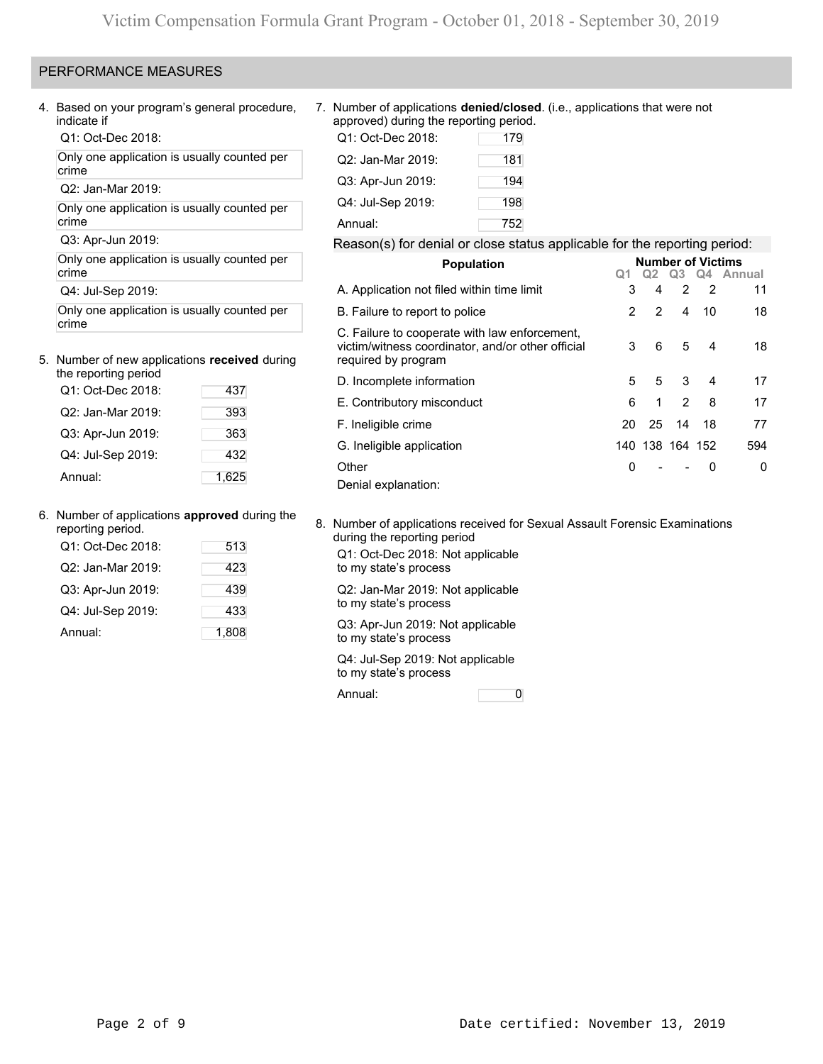### PERFORMANCE MEASURES

4. Based on your program's general procedure, indicate if

Q1: Oct-Dec 2018:

Only one application is usually counted per crime

Q2: Jan-Mar 2019:

Only one application is usually counted per crime

Q3: Apr-Jun 2019:

Only one application is usually counted per crime

Q4: Jul-Sep 2019:

Only one application is usually counted per crime

## 5. Number of new applications **received** during

| the reporting period |       |
|----------------------|-------|
| Q1: Oct-Dec 2018:    | 437   |
| Q2: Jan-Mar 2019:    | 393   |
| Q3: Apr-Jun 2019:    | 363   |
| Q4: Jul-Sep 2019:    | 432   |
| Annual:              | 1,625 |

6. Number of applications **approved** during the reporting period.

| 513   |
|-------|
| 423   |
| 439   |
| 433   |
| 1,808 |
|       |

7. Number of applications **denied/closed**. (i.e., applications that were not approved) during the reporting period.

| Q1: Oct-Dec 2018: | 179 |
|-------------------|-----|
| Q2: Jan-Mar 2019: | 181 |
| Q3: Apr-Jun 2019: | 194 |
| Q4: Jul-Sep 2019: | 198 |
| Annual:           | 752 |

### Reason(s) for denial or close status applicable for the reporting period:

| <b>Population</b>                                                                                                         |    | <b>Number of Victims</b> |                |                |                                                     |
|---------------------------------------------------------------------------------------------------------------------------|----|--------------------------|----------------|----------------|-----------------------------------------------------|
|                                                                                                                           |    |                          |                |                | Q <sub>2</sub> Q <sub>3</sub> Q <sub>4</sub> Annual |
| A. Application not filed within time limit                                                                                | 3  | 4                        | $\overline{2}$ | $\overline{2}$ | 11                                                  |
| B. Failure to report to police                                                                                            | 2  | 2                        | 4              | 10             | 18                                                  |
| C. Failure to cooperate with law enforcement,<br>victim/witness coordinator, and/or other official<br>required by program | 3  | 6                        | 5              | 4              | 18                                                  |
| D. Incomplete information                                                                                                 | 5  | 5                        | 3              | 4              | 17                                                  |
| E. Contributory misconduct                                                                                                | 6  | 1                        | 2              | 8              | 17                                                  |
| F. Ineligible crime                                                                                                       | 20 | 25                       | 14             | 18             | 77                                                  |
| G. Ineligible application                                                                                                 |    | 140 138 164 152          |                |                | 594                                                 |
| Other                                                                                                                     | 0  |                          |                | 0              | 0                                                   |
| Denial explanation:                                                                                                       |    |                          |                |                |                                                     |

8. Number of applications received for Sexual Assault Forensic Examinations during the reporting period

Q1: Oct-Dec 2018: Not applicable to my state's process

Q2: Jan-Mar 2019: Not applicable to my state's process

Q3: Apr-Jun 2019: Not applicable to my state's process

Q4: Jul-Sep 2019: Not applicable to my state's process

Annual: 0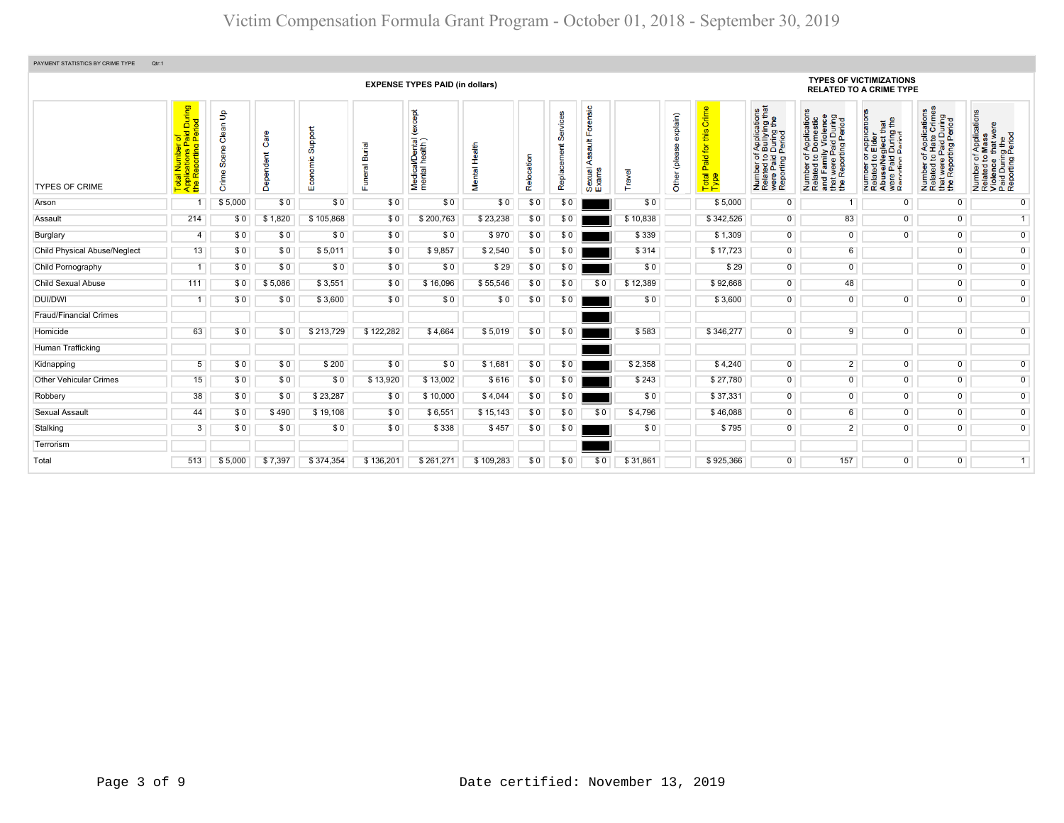| PAYMENT STATISTICS BY CRIME TYPE<br>Qtr:1 |                                                                                                         |                                          |                   |                         |                                        |                                                   |                       |            |                                     |                                                           |          |                                 |                                                            |                                                                                                                                                                  |                                                                                                                                                                      |                                                                                                                                                                        |                                                                                                                        |                                                                                                                             |
|-------------------------------------------|---------------------------------------------------------------------------------------------------------|------------------------------------------|-------------------|-------------------------|----------------------------------------|---------------------------------------------------|-----------------------|------------|-------------------------------------|-----------------------------------------------------------|----------|---------------------------------|------------------------------------------------------------|------------------------------------------------------------------------------------------------------------------------------------------------------------------|----------------------------------------------------------------------------------------------------------------------------------------------------------------------|------------------------------------------------------------------------------------------------------------------------------------------------------------------------|------------------------------------------------------------------------------------------------------------------------|-----------------------------------------------------------------------------------------------------------------------------|
|                                           |                                                                                                         |                                          |                   |                         |                                        | <b>EXPENSE TYPES PAID (in dollars)</b>            |                       |            |                                     |                                                           |          |                                 |                                                            |                                                                                                                                                                  |                                                                                                                                                                      | <b>TYPES OF VICTIMIZATIONS</b><br><b>RELATED TO A CRIME TYPE</b>                                                                                                       |                                                                                                                        |                                                                                                                             |
| <b>TYPES OF CRIME</b>                     | During<br>iod<br>aid<br>Peri<br>ai Number (<br>blications Pa<br>Reporting F<br>Tota<br>App <sub>1</sub> | $\frac{9}{2}$<br>Clean<br>Scene<br>Crime | Care<br>Dependent | Support<br>nomic<br>Eøj | ত<br>Buri<br>$\overline{\mathfrak{m}}$ | <b>bept</b><br>Medical/Dental (<br>mental health) | Health<br>ē<br>_<br>≷ | Relocation | $rac{1}{2}$<br>တိ<br>ŧ<br>Replaceme | Forensic<br>$\frac{4}{3}$<br>ပ္စ<br>⋖<br>Sexual.<br>Exams | Travel   | explain)<br>9<br>(plea<br>Other | Crime<br>this<br>for<br>Paid <sup>-</sup><br>Total<br>Type | f Applications<br>b Bullying that<br>During the<br>Period<br>$\overline{5}$ $\overline{9}$ $\overline{9}$<br>Number of<br>Related to<br>were Paid<br>Reporting I | ৯<br>f Application<br>Domestic<br>ly Violence<br>ily View<br>Paid During<br>rting Period<br>59<br>Number of<br>Related to<br>and Family<br>that were F<br>the Report | : Application<br>Elder<br>$\frac{1}{2}$<br>÷<br>glect th<br>During<br>Period<br>59<br>e/Ne<br>Paid<br>Number<br>Related<br>Abuse/N<br>ற<br>$\frac{1}{2}$ $\frac{1}{2}$ | Applications<br>Hate Crimes<br>Paid During<br>ting Period<br>$\frac{1}{2}$<br>დ බ<br>Number<br>Related<br>Rep<br>the i | f Applications<br>Mass<br>Number of Applicat<br>Related to Mass<br>Violence that wer<br>Paid During the<br>Reporting Period |
| Arson                                     | -1                                                                                                      | \$5,000                                  | \$0               | \$0                     | \$0                                    | \$0                                               | \$0                   | \$0        | \$0                                 |                                                           | \$0      |                                 | \$5,000                                                    | $\mathbf 0$                                                                                                                                                      |                                                                                                                                                                      | $\mathbf 0$                                                                                                                                                            | $^{\circ}$                                                                                                             | $\overline{0}$                                                                                                              |
| Assault                                   | 214                                                                                                     | \$0                                      | \$1,820           | \$105,868               | \$0                                    | \$200,763                                         | \$23,238              | \$0        | \$0                                 |                                                           | \$10,838 |                                 | \$342,526                                                  | $\overline{0}$                                                                                                                                                   | 83                                                                                                                                                                   | $\overline{0}$                                                                                                                                                         | $\overline{0}$                                                                                                         | $\overline{1}$                                                                                                              |
| Burglary                                  | $\overline{4}$                                                                                          | \$0                                      | \$0               | \$0                     | \$0                                    | \$0                                               | \$970                 | \$0        | \$0                                 |                                                           | \$339    |                                 | \$1,309                                                    | $\overline{0}$                                                                                                                                                   | $\overline{0}$                                                                                                                                                       | $\overline{0}$                                                                                                                                                         | $\overline{0}$                                                                                                         | $\overline{0}$                                                                                                              |
| <b>Child Physical Abuse/Neglect</b>       | 13                                                                                                      | \$0                                      | \$0               | \$5,011                 | \$0                                    | \$9,857                                           | \$2,540               | \$0        | \$0                                 |                                                           | \$314    |                                 | \$17,723                                                   | $\overline{0}$                                                                                                                                                   | 6                                                                                                                                                                    |                                                                                                                                                                        | $\overline{0}$                                                                                                         | $\overline{0}$                                                                                                              |
| Child Pornography                         | -1                                                                                                      | \$0                                      | \$0               | \$0                     | \$0                                    | \$0                                               | \$29                  | \$0        | \$0                                 |                                                           | \$0      |                                 | \$29                                                       | $\overline{0}$                                                                                                                                                   | $\overline{0}$                                                                                                                                                       |                                                                                                                                                                        | $\overline{0}$                                                                                                         | $\overline{0}$                                                                                                              |
| <b>Child Sexual Abuse</b>                 | 111                                                                                                     | \$0                                      | \$5,086           | \$3,551                 | \$0                                    | \$16,096                                          | \$55,546              | \$0        | \$0                                 | \$0                                                       | \$12,389 |                                 | \$92,668                                                   | $\overline{0}$                                                                                                                                                   | 48                                                                                                                                                                   |                                                                                                                                                                        | $\overline{0}$                                                                                                         | $\overline{0}$                                                                                                              |
| <b>DUI/DWI</b>                            |                                                                                                         | \$0                                      | \$0               | \$3,600                 | \$0                                    | \$0                                               | \$0                   | \$0        | \$0                                 |                                                           | \$0      |                                 | \$3,600                                                    | $\mathbf 0$                                                                                                                                                      | $\overline{0}$                                                                                                                                                       | 0                                                                                                                                                                      | $\overline{0}$                                                                                                         | $\overline{0}$                                                                                                              |
| <b>Fraud/Financial Crimes</b>             |                                                                                                         |                                          |                   |                         |                                        |                                                   |                       |            |                                     |                                                           |          |                                 |                                                            |                                                                                                                                                                  |                                                                                                                                                                      |                                                                                                                                                                        |                                                                                                                        |                                                                                                                             |
| Homicide                                  | 63                                                                                                      | \$0                                      | \$0               | \$213,729               | \$122,282                              | \$4,664                                           | \$5,019               | \$0        | \$0                                 |                                                           | \$583    |                                 | \$346,277                                                  | $\overline{0}$                                                                                                                                                   | $\overline{9}$                                                                                                                                                       | $\Omega$                                                                                                                                                               | $\Omega$                                                                                                               | $\overline{0}$                                                                                                              |
| Human Trafficking                         |                                                                                                         |                                          |                   |                         |                                        |                                                   |                       |            |                                     |                                                           |          |                                 |                                                            |                                                                                                                                                                  |                                                                                                                                                                      |                                                                                                                                                                        |                                                                                                                        |                                                                                                                             |
| Kidnapping                                | $5\overline{)}$                                                                                         | \$0                                      | \$0               | \$200                   | \$0                                    | \$0                                               | \$1,681               | \$0        | \$0                                 |                                                           | \$2,358  |                                 | \$4,240                                                    | $\overline{0}$                                                                                                                                                   | $\overline{2}$                                                                                                                                                       | $\overline{0}$                                                                                                                                                         | $\overline{0}$                                                                                                         | $\overline{0}$                                                                                                              |
| <b>Other Vehicular Crimes</b>             | 15                                                                                                      | \$0                                      | \$0               | \$0                     | \$13,920                               | \$13,002                                          | \$616                 | \$0        | \$0                                 |                                                           | \$243    |                                 | \$27,780                                                   | $\overline{0}$                                                                                                                                                   | $\overline{0}$                                                                                                                                                       | $\overline{0}$                                                                                                                                                         | $\overline{0}$                                                                                                         | $\overline{0}$                                                                                                              |
| Robbery                                   | 38                                                                                                      | \$0                                      | \$0               | \$23,287                | \$0                                    | \$10,000                                          | \$4,044               | \$0        | \$0                                 |                                                           | \$0      |                                 | \$37,331                                                   | $\overline{0}$                                                                                                                                                   | $\overline{0}$                                                                                                                                                       | $\overline{0}$                                                                                                                                                         | $\overline{0}$                                                                                                         | $\overline{0}$                                                                                                              |
| Sexual Assault                            | 44                                                                                                      | \$0                                      | \$490             | \$19,108                | \$0                                    | \$6,551                                           | \$15,143              | \$0        | \$0                                 | \$0                                                       | \$4,796  |                                 | \$46,088                                                   | $\overline{0}$                                                                                                                                                   | $6\overline{6}$                                                                                                                                                      | $\overline{0}$                                                                                                                                                         | $\overline{0}$                                                                                                         | $\overline{0}$                                                                                                              |
| Stalking                                  | 3                                                                                                       | \$0                                      | \$0               | \$0                     | \$0                                    | \$338                                             | \$457                 | \$0        | \$0                                 |                                                           | \$0      |                                 | \$795                                                      | $\overline{0}$                                                                                                                                                   | $\overline{2}$                                                                                                                                                       | $\overline{0}$                                                                                                                                                         | $\overline{0}$                                                                                                         | $\overline{0}$                                                                                                              |
| Terrorism                                 |                                                                                                         |                                          |                   |                         |                                        |                                                   |                       |            |                                     |                                                           |          |                                 |                                                            |                                                                                                                                                                  |                                                                                                                                                                      |                                                                                                                                                                        |                                                                                                                        |                                                                                                                             |
| Total                                     | 513                                                                                                     | \$5.000                                  | \$7,397           | \$374,354               | \$136,201                              | \$261.271                                         | \$109.283             | \$0        | \$0                                 | \$0                                                       | \$31,861 |                                 | \$925.366                                                  | $\overline{0}$                                                                                                                                                   | 157                                                                                                                                                                  | $\Omega$                                                                                                                                                               | $\overline{0}$                                                                                                         | $\overline{1}$                                                                                                              |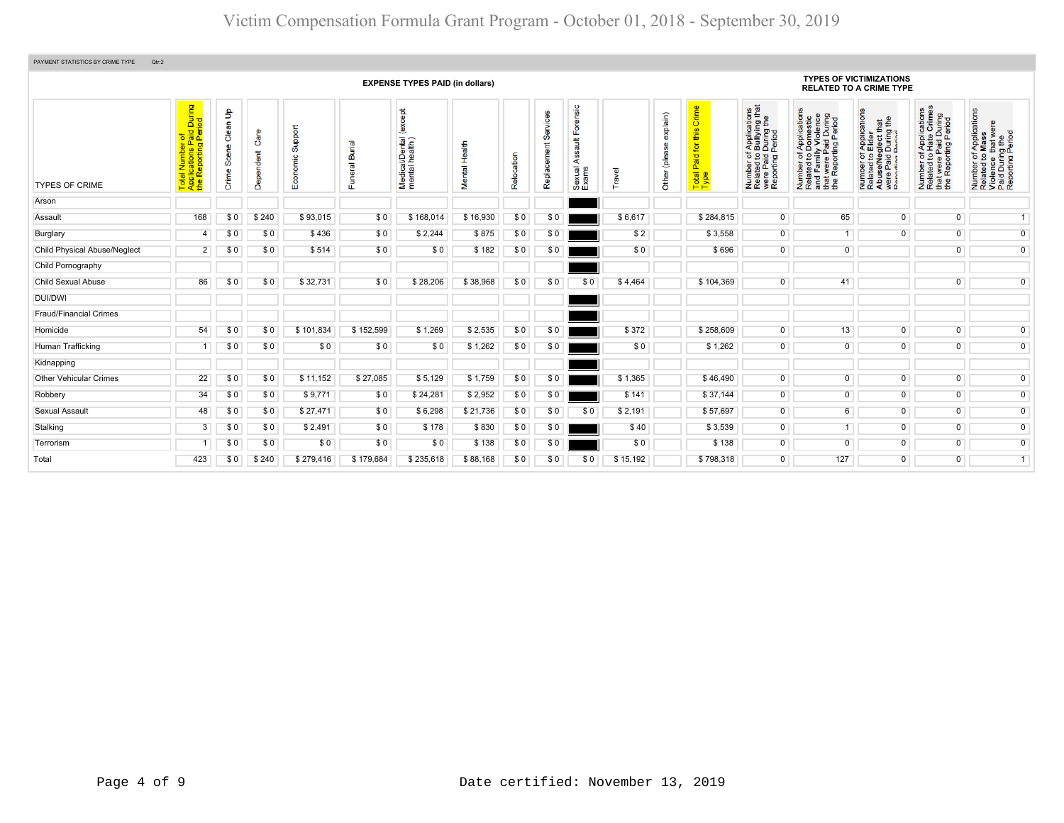| PAYMENT STATISTICS BY CRIME TYPE<br>Qtr:2 |                                                                                              |                                         |                   |                         |                       |                                              |                  |            |                         |                                                           |          |                            |                                                                       |                                                                                                                                           |                                                                                                                       |                                                                                                                                                            |                                                                                                                        |                                                                                                        |
|-------------------------------------------|----------------------------------------------------------------------------------------------|-----------------------------------------|-------------------|-------------------------|-----------------------|----------------------------------------------|------------------|------------|-------------------------|-----------------------------------------------------------|----------|----------------------------|-----------------------------------------------------------------------|-------------------------------------------------------------------------------------------------------------------------------------------|-----------------------------------------------------------------------------------------------------------------------|------------------------------------------------------------------------------------------------------------------------------------------------------------|------------------------------------------------------------------------------------------------------------------------|--------------------------------------------------------------------------------------------------------|
|                                           |                                                                                              |                                         |                   |                         |                       | <b>EXPENSE TYPES PAID (in dollars)</b>       |                  |            |                         |                                                           |          |                            |                                                                       |                                                                                                                                           |                                                                                                                       | <b>TYPES OF VICTIMIZATIONS</b><br><b>RELATED TO A CRIME TYPE</b>                                                                                           |                                                                                                                        |                                                                                                        |
| <b>TYPES OF CRIME</b>                     | During<br>iod<br><b>irof</b><br>Paid<br>g Peri<br>ting<br>Numl<br>cation<br>œ<br><b>Date</b> | $\mathbf{e}$<br>Clean<br>Scene<br>Crime | Care<br>Dependent | Support<br>conomic<br>ш | Burial<br>uneral<br>ш | except<br>Medical/Dental (<br>mental health) | ᆒ<br>Ĭ<br>Mental | Relocation | Services<br>Replacement | Forensic<br>$\frac{4}{30}$<br>တ္တ<br>⋖<br>Sexual<br>Exams | Travel   | explain)<br>(plea<br>Other | Crime<br>this<br>tor<br>$\overline{\mathbf{a}}$<br>Ä<br>Total<br>Type | of Applications<br>o Bullying that<br>1 During the<br>I Period<br>Number of <i>I</i><br>Related to <b>I</b><br>were Paid L<br>Reporting P | Number of Applications<br>Related to Domestic<br>and Family Violence<br>that were Paid During<br>the Reporting Period | T Applications<br><b>S</b> Elder<br>sglect that<br>During the<br>Pariod<br>Paid<br>ed to I<br>Paid<br>Number<br>Related<br>Abuse/N<br>were Pai<br>Reportin | <b>Applications</b><br>Hate Crimes<br>were Paid During<br>Reporting Period<br>$\frac{1}{6}$<br>Number<br>Related<br>Ē£ | Number of Applications<br>Related to Mass<br>Violence that were<br>Paid During the<br>Reporting Period |
| Arson                                     |                                                                                              |                                         |                   |                         |                       |                                              |                  |            |                         |                                                           |          |                            |                                                                       |                                                                                                                                           |                                                                                                                       |                                                                                                                                                            |                                                                                                                        |                                                                                                        |
| Assault                                   | 168                                                                                          | \$0                                     | \$240             | \$93,015                | \$0                   | \$168.014                                    | \$16,930         | \$0        | \$0                     |                                                           | \$6,617  |                            | \$284.815                                                             | $\overline{0}$                                                                                                                            | 65                                                                                                                    | $\overline{0}$                                                                                                                                             | $\overline{0}$                                                                                                         | $\overline{1}$                                                                                         |
| Burglary                                  | 4                                                                                            | \$0                                     | \$0               | \$436                   | \$0                   | \$2,244                                      | \$875            | \$0        | \$0                     |                                                           | \$2      |                            | \$3,558                                                               | $\overline{0}$                                                                                                                            | 1                                                                                                                     | $\Omega$                                                                                                                                                   | $\overline{0}$                                                                                                         | $\overline{0}$                                                                                         |
| <b>Child Physical Abuse/Neglect</b>       | $2^{\circ}$                                                                                  | \$0                                     | \$0               | \$514                   | \$0                   | \$0                                          | \$182            | \$0        | \$0                     |                                                           | \$0      |                            | \$696                                                                 | $\overline{0}$                                                                                                                            | $\overline{0}$                                                                                                        |                                                                                                                                                            | $\overline{0}$                                                                                                         | $\overline{0}$                                                                                         |
| Child Pornography                         |                                                                                              |                                         |                   |                         |                       |                                              |                  |            |                         |                                                           |          |                            |                                                                       |                                                                                                                                           |                                                                                                                       |                                                                                                                                                            |                                                                                                                        |                                                                                                        |
| <b>Child Sexual Abuse</b>                 | 86                                                                                           | \$0                                     | \$0               | \$32,731                | \$0                   | \$28,206                                     | \$38,968         | \$0        | \$0                     | \$0                                                       | \$4,464  |                            | \$104,369                                                             | $\circ$                                                                                                                                   | 41                                                                                                                    |                                                                                                                                                            | $\Omega$                                                                                                               | $\overline{0}$                                                                                         |
| <b>DUI/DWI</b>                            |                                                                                              |                                         |                   |                         |                       |                                              |                  |            |                         |                                                           |          |                            |                                                                       |                                                                                                                                           |                                                                                                                       |                                                                                                                                                            |                                                                                                                        |                                                                                                        |
| <b>Fraud/Financial Crimes</b>             |                                                                                              |                                         |                   |                         |                       |                                              |                  |            |                         |                                                           |          |                            |                                                                       |                                                                                                                                           |                                                                                                                       |                                                                                                                                                            |                                                                                                                        |                                                                                                        |
| Homicide                                  | 54                                                                                           | \$0                                     | \$0               | \$101,834               | \$152,599             | \$1,269                                      | \$2,535          | \$0        | \$0                     |                                                           | \$372    |                            | \$258,609                                                             | $\overline{0}$                                                                                                                            | 13                                                                                                                    | $\overline{0}$                                                                                                                                             | 0                                                                                                                      | $\overline{0}$                                                                                         |
| Human Trafficking                         | 1                                                                                            | \$0                                     | \$0               | \$0                     | \$0                   | \$0                                          | \$1,262          | \$0        | \$0                     |                                                           | \$0      |                            | \$1,262                                                               | $\mathbf 0$                                                                                                                               | $\overline{0}$                                                                                                        | $\overline{0}$                                                                                                                                             | $\overline{0}$                                                                                                         | $\overline{0}$                                                                                         |
| Kidnapping                                |                                                                                              |                                         |                   |                         |                       |                                              |                  |            |                         |                                                           |          |                            |                                                                       |                                                                                                                                           |                                                                                                                       |                                                                                                                                                            |                                                                                                                        |                                                                                                        |
| <b>Other Vehicular Crimes</b>             | 22                                                                                           | \$0                                     | \$0               | \$11,152                | \$27,085              | \$5,129                                      | \$1,759          | \$0        | \$0                     |                                                           | \$1,365  |                            | \$46,490                                                              | $\overline{0}$                                                                                                                            | $\overline{0}$                                                                                                        | $\overline{0}$                                                                                                                                             | $\overline{0}$                                                                                                         | $\overline{0}$                                                                                         |
| Robbery                                   | 34                                                                                           | \$0                                     | \$0               | \$9,771                 | \$0                   | \$24,281                                     | \$2,952          | \$0        | \$0                     |                                                           | \$141    |                            | \$37,144                                                              | $\overline{0}$                                                                                                                            | $\overline{0}$                                                                                                        | $\overline{0}$                                                                                                                                             | $\overline{0}$                                                                                                         | $\overline{0}$                                                                                         |
| Sexual Assault                            | 48                                                                                           | \$0                                     | \$0               | \$27,471                | \$0                   | \$6,298                                      | \$21,736         | \$0        | \$0                     | \$0                                                       | \$2,191  |                            | \$57,697                                                              | $\overline{0}$                                                                                                                            | $6\overline{6}$                                                                                                       | $\Omega$                                                                                                                                                   | $\overline{0}$                                                                                                         | $\overline{0}$                                                                                         |
| Stalking                                  | 3                                                                                            | \$0                                     | \$0               | \$2,491                 | \$0                   | \$178                                        | \$830            | \$0        | \$0                     |                                                           | \$40     |                            | \$3,539                                                               | $\overline{0}$                                                                                                                            | 1 <sup>1</sup>                                                                                                        | $\overline{0}$                                                                                                                                             | $\overline{0}$                                                                                                         | $\overline{0}$                                                                                         |
| Terrorism                                 |                                                                                              | \$0                                     | \$0               | \$0                     | \$0                   | \$0                                          | \$138            | \$0        | \$0                     |                                                           | \$0      |                            | \$138                                                                 | $\overline{0}$                                                                                                                            | $\overline{0}$                                                                                                        | $\overline{0}$                                                                                                                                             | $\overline{0}$                                                                                                         | $\overline{0}$                                                                                         |
| Total                                     | 423                                                                                          | \$0                                     | \$240             | \$279,416               | \$179,684             | \$235,618                                    | \$88,168         | \$0        | \$0                     | \$0                                                       | \$15,192 |                            | \$798,318                                                             | $\overline{0}$                                                                                                                            | 127                                                                                                                   | $\overline{0}$                                                                                                                                             | $\overline{0}$                                                                                                         | 1                                                                                                      |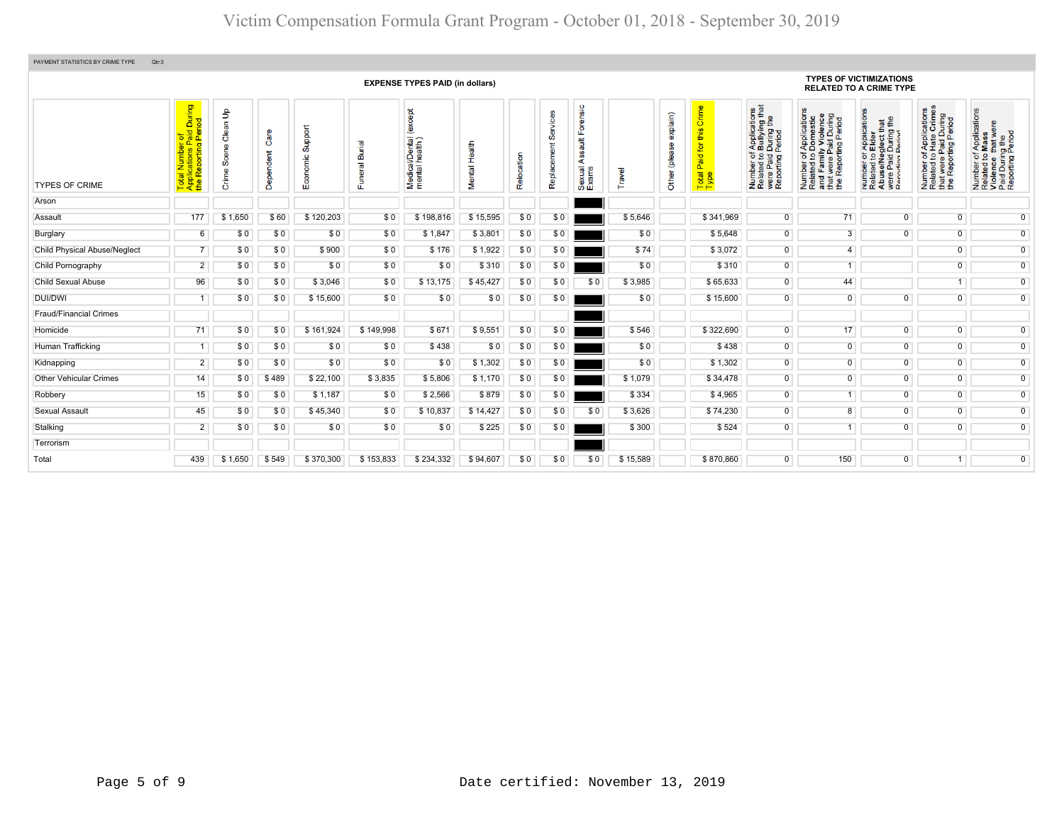| PAYMENT STATISTICS BY CRIME TYPE<br>Qtr:3 |                                                                     |                                          |                      |                     |                |                                              |                  |            |                                   |                                                        |          |                                         |                                                         |                                                                                                                                        |                                                                                                                                                                              |                                                                                                                                                                                          |                                                                                                                             |                                                                                                        |
|-------------------------------------------|---------------------------------------------------------------------|------------------------------------------|----------------------|---------------------|----------------|----------------------------------------------|------------------|------------|-----------------------------------|--------------------------------------------------------|----------|-----------------------------------------|---------------------------------------------------------|----------------------------------------------------------------------------------------------------------------------------------------|------------------------------------------------------------------------------------------------------------------------------------------------------------------------------|------------------------------------------------------------------------------------------------------------------------------------------------------------------------------------------|-----------------------------------------------------------------------------------------------------------------------------|--------------------------------------------------------------------------------------------------------|
|                                           |                                                                     |                                          |                      |                     |                | <b>EXPENSE TYPES PAID (in dollars)</b>       |                  |            |                                   |                                                        |          |                                         |                                                         |                                                                                                                                        |                                                                                                                                                                              | <b>TYPES OF VICTIMIZATIONS</b><br><b>RELATED TO A CRIME TYPE</b>                                                                                                                         |                                                                                                                             |                                                                                                        |
| <b>TYPES OF CRIME</b>                     | Total Number of<br>Applications Paid During<br>the Reporting Period | $\mathsf{B}$<br>Clean<br>Scene<br>Crime: | Care<br>pendent<br>௹ | Support<br>Economic | Funeral Burial | except<br>Medical/Dental (<br>mental health) | Health<br>Mental | Relocation | ဖာ<br><b>Tier</b><br>틂<br>Replace | Forensic<br><b>Tius</b><br>ဖ္တ<br>⋖<br>Sexual<br>Exams | Travel   | explain)<br>8<br>ieald)<br><b>Other</b> | Crime<br>this<br><b>b</b><br>bis<br>Ő.<br>Total<br>Type | f Applications<br>b Bullying that<br>I During the<br>Period<br>Number of <i>A</i><br>Related to <b>E</b><br>were Paid L<br>Reporting P | f Applications<br>Domestic<br>ly Violence<br>raid During<br>ting Peric<br>Number of A <sub>l</sub><br>Related to Do<br>and Family<br>that were Pai<br>the Reporting<br>rwere | ications<br>$\frac{4}{9}$<br>r Applica<br>Elder<br>glect th<br>During<br>Period<br>Paid<br><b>Paid</b><br>Paid<br>Paid<br>Hinn F<br>Numper<br>Related<br>Abuse/N<br>were Pai<br>Reportin | <b>Applications</b><br>Hate Crimes<br>were Paid During<br>Reporting Period<br>$\frac{6}{9}$<br>Number<br>Related t<br>the L | Number of Applications<br>Related to Mass<br>Violence that were<br>Paid During the<br>Reporting Period |
| Arson                                     |                                                                     |                                          |                      |                     |                |                                              |                  |            |                                   |                                                        |          |                                         |                                                         |                                                                                                                                        |                                                                                                                                                                              |                                                                                                                                                                                          |                                                                                                                             |                                                                                                        |
| Assault                                   | 177                                                                 | \$1,650                                  | \$60                 | \$120,203           | \$0            | \$198,816                                    | \$15,595         | \$0        | \$0                               |                                                        | \$5,646  |                                         | \$341,969                                               | $\overline{0}$                                                                                                                         | 71                                                                                                                                                                           | $\overline{0}$                                                                                                                                                                           | $\overline{0}$                                                                                                              | $\overline{0}$                                                                                         |
| Burglary                                  | 6                                                                   | \$0                                      | \$0                  | \$0                 | \$0            | \$1,847                                      | \$3,801          | \$0        | \$0                               |                                                        | \$0      |                                         | \$5,648                                                 | $\overline{0}$                                                                                                                         | $\overline{3}$                                                                                                                                                               | $\overline{0}$                                                                                                                                                                           | $\overline{0}$                                                                                                              | $\overline{0}$                                                                                         |
| <b>Child Physical Abuse/Neglect</b>       |                                                                     | \$0                                      | \$0                  | \$900               | \$0            | \$176                                        | \$1,922          | \$0        | \$0                               |                                                        | \$74     |                                         | \$3,072                                                 | $\overline{0}$                                                                                                                         | $\overline{4}$                                                                                                                                                               |                                                                                                                                                                                          | $\overline{0}$                                                                                                              | $\overline{0}$                                                                                         |
| Child Pornography                         | 2                                                                   | \$0                                      | \$0                  | \$0                 | \$0            | \$0                                          | \$310            | \$0        | \$0                               |                                                        | \$0      |                                         | \$310                                                   | $\overline{0}$                                                                                                                         | $\overline{1}$                                                                                                                                                               |                                                                                                                                                                                          | $\overline{0}$                                                                                                              | $\overline{0}$                                                                                         |
| <b>Child Sexual Abuse</b>                 | 96                                                                  | \$0                                      | \$0                  | \$3,046             | \$0            | \$13,175                                     | \$45,427         | \$0        | \$0                               | \$0                                                    | \$3,985  |                                         | \$65,633                                                | $\overline{0}$                                                                                                                         | 44                                                                                                                                                                           |                                                                                                                                                                                          | 1                                                                                                                           | $\overline{0}$                                                                                         |
| <b>DUI/DWI</b>                            |                                                                     | \$0                                      | \$0                  | \$15,600            | \$0            | \$0                                          | \$0              | \$0        | \$0                               |                                                        | \$0      |                                         | \$15,600                                                | $\overline{0}$                                                                                                                         | $\overline{0}$                                                                                                                                                               | $\overline{0}$                                                                                                                                                                           | $\overline{0}$                                                                                                              | $\overline{0}$                                                                                         |
| <b>Fraud/Financial Crimes</b>             |                                                                     |                                          |                      |                     |                |                                              |                  |            |                                   |                                                        |          |                                         |                                                         |                                                                                                                                        |                                                                                                                                                                              |                                                                                                                                                                                          |                                                                                                                             |                                                                                                        |
| Homicide                                  | 71                                                                  | \$0                                      | \$0                  | \$161,924           | \$149,998      | \$671                                        | \$9,551          | \$0        | \$0                               |                                                        | \$546    |                                         | \$322,690                                               | $\overline{0}$                                                                                                                         | 17                                                                                                                                                                           | $\overline{0}$                                                                                                                                                                           | $\overline{0}$                                                                                                              | $\overline{0}$                                                                                         |
| Human Trafficking                         | 1                                                                   | \$0                                      | \$0                  | \$0                 | \$0            | \$438                                        | \$0              | \$0        | \$0                               |                                                        | \$0      |                                         | \$438                                                   | $\overline{0}$                                                                                                                         | $\overline{0}$                                                                                                                                                               | $\overline{0}$                                                                                                                                                                           | $\overline{0}$                                                                                                              | $\overline{0}$                                                                                         |
| Kidnapping                                | $\overline{2}$                                                      | \$0                                      | \$0                  | \$0                 | \$0            | \$0                                          | \$1,302          | \$0        | \$0                               |                                                        | \$0      |                                         | \$1,302                                                 | $\overline{0}$                                                                                                                         | $\overline{0}$                                                                                                                                                               | $\overline{0}$                                                                                                                                                                           | $\overline{0}$                                                                                                              | $\overline{0}$                                                                                         |
| <b>Other Vehicular Crimes</b>             | 14                                                                  | \$0                                      | \$489                | \$22,100            | \$3,835        | \$5,806                                      | \$1,170          | \$0        | \$0                               |                                                        | \$1,079  |                                         | \$34,478                                                | $\overline{0}$                                                                                                                         | $\overline{0}$                                                                                                                                                               | $\overline{0}$                                                                                                                                                                           | $\overline{0}$                                                                                                              | $\overline{0}$                                                                                         |
| Robbery                                   | 15                                                                  | \$0                                      | \$0                  | \$1,187             | \$0            | \$2,566                                      | \$879            | \$0        | \$0                               |                                                        | \$334    |                                         | \$4,965                                                 | $\overline{0}$                                                                                                                         |                                                                                                                                                                              | $\overline{0}$                                                                                                                                                                           | $\overline{0}$                                                                                                              | $\overline{0}$                                                                                         |
| Sexual Assault                            | 45                                                                  | \$0                                      | \$0                  | \$45,340            | \$0            | \$10,837                                     | \$14,427         | \$0        | \$0                               | \$0                                                    | \$3,626  |                                         | \$74,230                                                | $\overline{0}$                                                                                                                         | 8                                                                                                                                                                            | $\overline{0}$                                                                                                                                                                           | $\overline{0}$                                                                                                              | $\overline{0}$                                                                                         |
| Stalking                                  | $\overline{2}$                                                      | \$0                                      | \$0                  | \$0                 | \$0            | \$0                                          | \$225            | \$0        | \$0                               |                                                        | \$300    |                                         | \$524                                                   | $\overline{0}$                                                                                                                         | $\overline{1}$                                                                                                                                                               | $\overline{0}$                                                                                                                                                                           | $\overline{0}$                                                                                                              | $\overline{0}$                                                                                         |
| Terrorism                                 |                                                                     |                                          |                      |                     |                |                                              |                  |            |                                   |                                                        |          |                                         |                                                         |                                                                                                                                        |                                                                                                                                                                              |                                                                                                                                                                                          |                                                                                                                             |                                                                                                        |
| Total                                     | 439                                                                 | \$1,650                                  | \$549                | \$370,300           | \$153,833      | \$234,332                                    | \$94,607         | \$0        | \$0                               | \$0                                                    | \$15,589 |                                         | \$870,860                                               | $\overline{0}$                                                                                                                         | 150                                                                                                                                                                          | $\overline{0}$                                                                                                                                                                           | 1.                                                                                                                          | $\overline{0}$                                                                                         |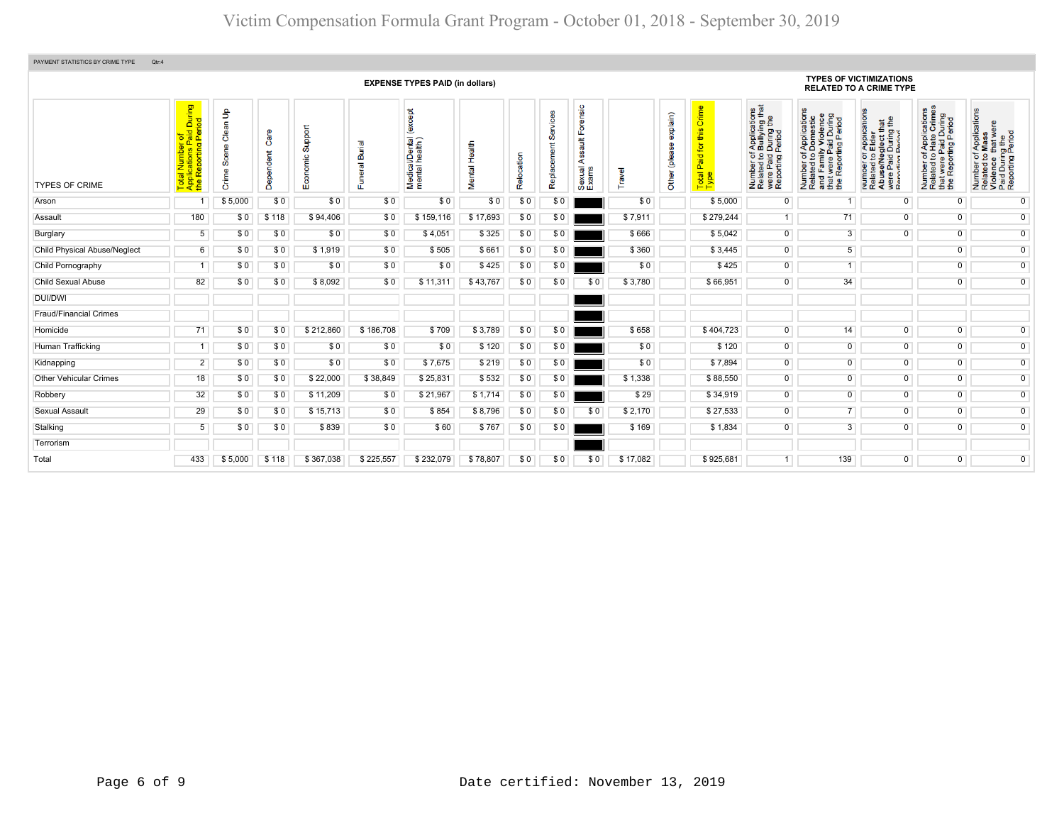| PAYMENT STATISTICS BY CRIME TYPE<br>Qtr:4 |                                                                                                          |                                          |                   |                     |                |                                                        |                  |            |               |                                              |          |                                             |                                                        |                                                                                                                                      |                                                                                                                                                                     |                                                                                                                                                                     |                                                                                                                                                  |                                                                                                                                 |
|-------------------------------------------|----------------------------------------------------------------------------------------------------------|------------------------------------------|-------------------|---------------------|----------------|--------------------------------------------------------|------------------|------------|---------------|----------------------------------------------|----------|---------------------------------------------|--------------------------------------------------------|--------------------------------------------------------------------------------------------------------------------------------------|---------------------------------------------------------------------------------------------------------------------------------------------------------------------|---------------------------------------------------------------------------------------------------------------------------------------------------------------------|--------------------------------------------------------------------------------------------------------------------------------------------------|---------------------------------------------------------------------------------------------------------------------------------|
|                                           |                                                                                                          |                                          |                   |                     |                | <b>EXPENSE TYPES PAID (in dollars)</b>                 |                  |            |               |                                              |          |                                             |                                                        |                                                                                                                                      |                                                                                                                                                                     | <b>TYPES OF VICTIMIZATIONS</b><br><b>RELATED TO A CRIME TYPE</b>                                                                                                    |                                                                                                                                                  |                                                                                                                                 |
| <b>TYPES OF CRIME</b>                     | r of<br>Paid During<br>Period<br>al Number c<br>plications Pa<br>Reporting F<br>Total<br>Applic<br>the R | $\mathsf{B}$<br>Clean<br>Scene<br>Crime: | Care<br>Dependent | Support<br>Economic | Funeral Burial | <b>bept</b><br>ě<br>Medical/Dental (<br>mental health) | Health<br>Mental | Relocation | ഗ്<br>Replace | Forensic<br>ã<br>ပ္က<br>⋖<br>Sexual<br>Exams | Travel   | explain)<br>8<br><b>iea</b><br><b>Other</b> | Crime<br>ഗ<br>Ξ<br><b>i</b> o<br>Paid<br>Total<br>Type | f Applications<br>b Bullying that<br>I During the<br>Period<br>Number of <i>I</i><br>Related to <b>I</b><br>were Paid<br>Reporting F | f Applications<br>Domestic<br>ly Violence<br>During<br>Period<br>Peri<br>Number of Appli<br>Related to Dom<br>and Family Vio<br>that were Paid I<br>the Reporting P | ications<br><b>¤∄</b><br><b>Pepilos</b><br>Elder<br>Blect th<br>During 1<br>Period<br>Number 01,<br>Related to I<br>Abuse/Neg<br>were Paid I<br>Reporting Reporting | f Applications<br>Hate Crimes<br>Paid During<br>at were Paid During<br>Peporting Period<br>$\frac{1}{2}$<br>Number<br>Related t<br>$\frac{1}{2}$ | f Applications<br>Mass<br>Number of Application<br>Related to Mass<br>Violence that were<br>Paid During the<br>Reporting Period |
| Arson                                     |                                                                                                          | \$5,000                                  | \$0               | \$0                 | \$0            | \$0                                                    | \$0              | \$0        | \$0           |                                              | \$0      |                                             | \$5,000                                                | $\overline{0}$                                                                                                                       |                                                                                                                                                                     | 0                                                                                                                                                                   | $^{\circ}$                                                                                                                                       | $\overline{0}$                                                                                                                  |
| Assault                                   | 180                                                                                                      | \$0                                      | \$118             | \$94,406            | \$0            | \$159,116                                              | \$17,693         | \$0        | \$0           |                                              | \$7,911  |                                             | \$279,244                                              | 1                                                                                                                                    | 71                                                                                                                                                                  | $\mathbf{0}$                                                                                                                                                        | $\overline{0}$                                                                                                                                   | $\overline{0}$                                                                                                                  |
| Burglary                                  | 5                                                                                                        | \$0                                      | \$0               | \$0                 | \$0            | \$4,051                                                | \$325            | \$0        | \$0           |                                              | \$666    |                                             | \$5,042                                                | $\overline{0}$                                                                                                                       | $\overline{3}$                                                                                                                                                      | $\overline{0}$                                                                                                                                                      | $\overline{0}$                                                                                                                                   | $\overline{0}$                                                                                                                  |
| <b>Child Physical Abuse/Neglect</b>       | $6\overline{6}$                                                                                          | \$0                                      | \$0               | \$1,919             | \$0            | \$505                                                  | \$661            | \$0        | \$0           |                                              | \$360    |                                             | \$3,445                                                | $\overline{0}$                                                                                                                       | 5 <sup>5</sup>                                                                                                                                                      |                                                                                                                                                                     | $\overline{0}$                                                                                                                                   | $\overline{0}$                                                                                                                  |
| Child Pornography                         |                                                                                                          | \$0                                      | \$0               | \$0                 | \$0            | \$0                                                    | \$425            | \$0        | \$0           |                                              | \$0      |                                             | \$425                                                  | $\overline{0}$                                                                                                                       | 1                                                                                                                                                                   |                                                                                                                                                                     | $\overline{0}$                                                                                                                                   | $\overline{0}$                                                                                                                  |
| <b>Child Sexual Abuse</b>                 | 82                                                                                                       | \$0                                      | \$0               | \$8,092             | \$0            | \$11,311                                               | \$43,767         | \$0        | \$0           | \$0                                          | \$3,780  |                                             | \$66,951                                               | $\overline{0}$                                                                                                                       | 34                                                                                                                                                                  |                                                                                                                                                                     | $\overline{0}$                                                                                                                                   | $\overline{0}$                                                                                                                  |
| <b>DUI/DWI</b>                            |                                                                                                          |                                          |                   |                     |                |                                                        |                  |            |               |                                              |          |                                             |                                                        |                                                                                                                                      |                                                                                                                                                                     |                                                                                                                                                                     |                                                                                                                                                  |                                                                                                                                 |
| <b>Fraud/Financial Crimes</b>             |                                                                                                          |                                          |                   |                     |                |                                                        |                  |            |               |                                              |          |                                             |                                                        |                                                                                                                                      |                                                                                                                                                                     |                                                                                                                                                                     |                                                                                                                                                  |                                                                                                                                 |
| Homicide                                  | 71                                                                                                       | \$0                                      | \$0               | \$212,860           | \$186,708      | \$709                                                  | \$3,789          | \$0        | \$0           |                                              | \$658    |                                             | \$404,723                                              | $\overline{0}$                                                                                                                       | 14                                                                                                                                                                  | $\overline{0}$                                                                                                                                                      | $\overline{0}$                                                                                                                                   | $\overline{0}$                                                                                                                  |
| Human Trafficking                         |                                                                                                          | \$0                                      | \$0               | \$0                 | \$0            | \$0                                                    | \$120            | \$0        | \$0           |                                              | \$0      |                                             | \$120                                                  | $\overline{0}$                                                                                                                       | $\overline{0}$                                                                                                                                                      | $\overline{0}$                                                                                                                                                      | $\overline{0}$                                                                                                                                   | $\overline{0}$                                                                                                                  |
| Kidnapping                                | $\overline{2}$                                                                                           | \$0                                      | \$0               | \$0                 | \$0            | \$7,675                                                | \$219            | \$0        | \$0           |                                              | \$0      |                                             | \$7,894                                                | $\overline{0}$                                                                                                                       | $\overline{0}$                                                                                                                                                      | $\overline{0}$                                                                                                                                                      | $\overline{0}$                                                                                                                                   | $\overline{0}$                                                                                                                  |
| <b>Other Vehicular Crimes</b>             | 18                                                                                                       | \$0                                      | \$0               | \$22,000            | \$38,849       | \$25,831                                               | \$532            | \$0        | \$0           |                                              | \$1,338  |                                             | \$88,550                                               | $\overline{0}$                                                                                                                       | $\overline{0}$                                                                                                                                                      | $\overline{0}$                                                                                                                                                      | $\overline{0}$                                                                                                                                   | $\overline{0}$                                                                                                                  |
| Robbery                                   | 32                                                                                                       | \$0                                      | \$0               | \$11,209            | \$0            | \$21,967                                               | \$1,714          | \$0        | \$0           |                                              | \$29     |                                             | \$34,919                                               | $\overline{0}$                                                                                                                       | $\overline{0}$                                                                                                                                                      | $\overline{0}$                                                                                                                                                      | $\overline{0}$                                                                                                                                   | $\overline{0}$                                                                                                                  |
| Sexual Assault                            | 29                                                                                                       | \$0                                      | \$0               | \$15,713            | \$0            | \$854                                                  | \$8,796          | \$0        | \$0           | \$0                                          | \$2,170  |                                             | \$27,533                                               | $\overline{0}$                                                                                                                       |                                                                                                                                                                     | $\overline{0}$                                                                                                                                                      | $\overline{0}$                                                                                                                                   | $\overline{0}$                                                                                                                  |
| Stalking                                  | 5                                                                                                        | \$0                                      | \$0               | \$839               | \$0            | \$60                                                   | \$767            | \$0        | \$0           |                                              | \$169    |                                             | \$1,834                                                | $\overline{0}$                                                                                                                       | $\overline{3}$                                                                                                                                                      | $\overline{0}$                                                                                                                                                      | $\overline{0}$                                                                                                                                   | $\overline{0}$                                                                                                                  |
| Terrorism                                 |                                                                                                          |                                          |                   |                     |                |                                                        |                  |            |               |                                              |          |                                             |                                                        |                                                                                                                                      |                                                                                                                                                                     |                                                                                                                                                                     |                                                                                                                                                  |                                                                                                                                 |
| Total                                     | 433                                                                                                      | \$5,000                                  | \$118             | \$367,038           | \$225,557      | \$232,079                                              | \$78,807         | \$0        | \$0           | \$0                                          | \$17,082 |                                             | \$925,681                                              |                                                                                                                                      | 139                                                                                                                                                                 | $\overline{0}$                                                                                                                                                      | $\overline{0}$                                                                                                                                   | $\overline{0}$                                                                                                                  |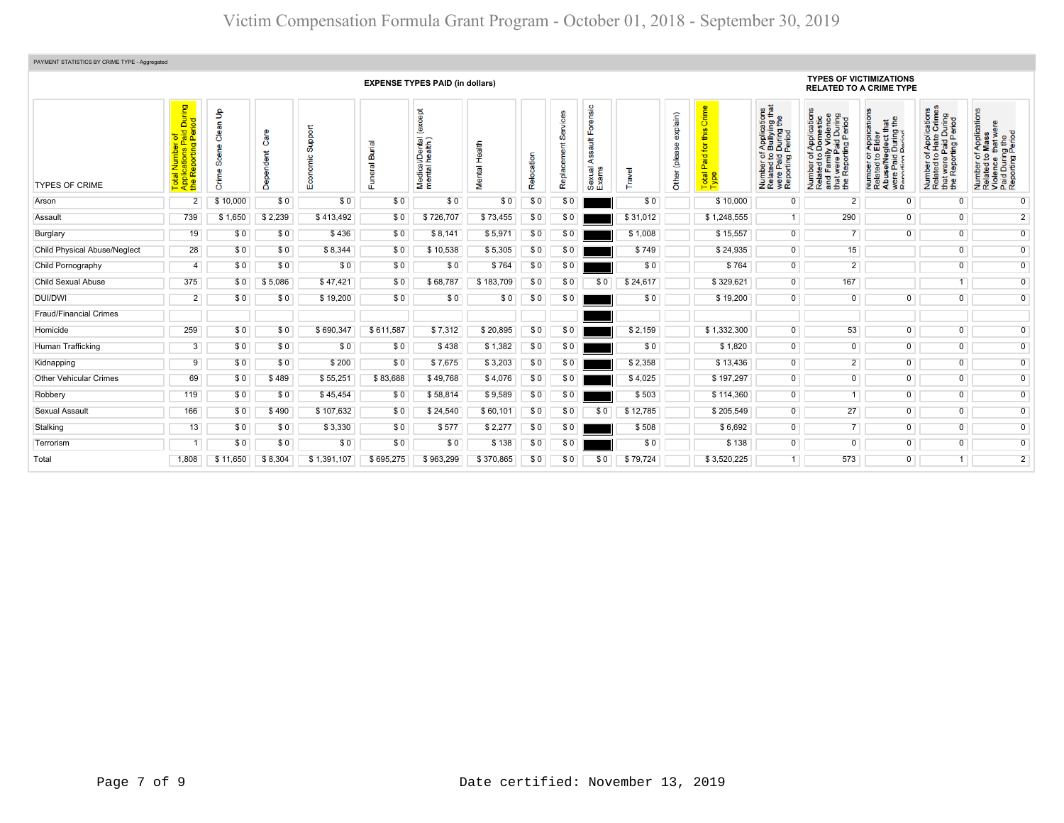| PAYMENT STATISTICS BY CRIME TYPE - Aggregated |                                                                            |                            |                        |                         |                    |                                                                |                  |      |                  |                                                        |          |                              |                                                                                                                                  |                                                                                                                                                         |                                                                                                                                                                   |                                                                                                                                                               |                                                                                                                                                                            |                                                                                                                              |
|-----------------------------------------------|----------------------------------------------------------------------------|----------------------------|------------------------|-------------------------|--------------------|----------------------------------------------------------------|------------------|------|------------------|--------------------------------------------------------|----------|------------------------------|----------------------------------------------------------------------------------------------------------------------------------|---------------------------------------------------------------------------------------------------------------------------------------------------------|-------------------------------------------------------------------------------------------------------------------------------------------------------------------|---------------------------------------------------------------------------------------------------------------------------------------------------------------|----------------------------------------------------------------------------------------------------------------------------------------------------------------------------|------------------------------------------------------------------------------------------------------------------------------|
|                                               | <b>EXPENSE TYPES PAID (in dollars)</b>                                     |                            |                        |                         |                    |                                                                |                  |      |                  |                                                        |          |                              |                                                                                                                                  | <b>TYPES OF VICTIMIZATIONS</b><br><b>RELATED TO A CRIME TYPE</b>                                                                                        |                                                                                                                                                                   |                                                                                                                                                               |                                                                                                                                                                            |                                                                                                                              |
| <b>TYPES OF CRIME</b>                         | During<br>iod<br>$\overline{O}$<br><u>이 등을</u><br>ting<br>œ<br><u>, 85</u> | Clean Up<br>Scene<br>Crime | Ő<br>ndent<br>ၜၟ<br>ട് | Support<br>conomic<br>ш | ᠊ᢛ<br>ഩ്<br>uneral | <b>bept</b><br>Č<br>i/Dental<br>health)<br>Medical<br>mental l | Health<br>Mental | Relo | ஃ<br>Replacement | orensic<br>ш<br>$\frac{4}{3}$<br>∢<br>Sexual,<br>Exams | Travel   | explain)<br>(please<br>Other | Crime<br>this<br>$\overline{\mathbf{p}}$<br>Paid <sup>-</sup><br>$\overline{\mathfrak{m}}$ $\mathfrak{D}$<br>$\frac{1}{6}$<br>۴É | ications<br>ring that<br>g the<br>During<br>Period<br>Applic<br>Bullyi<br>Number of,<br>Related to I<br>were Paid I<br>Reporting F<br>Number<br>Related | f Applications<br>Domestic<br>ly Violence<br>ily view.<br>Paid During<br>rting Period<br>৳<br>S<br>Number of<br>Related to<br>and Famil<br>t were<br>and<br>the F | <b>ICATIONS</b><br><b>¤∄</b><br>glect th<br>During<br>Appli<br>Elder<br>59<br>e/Ne<br>Paid<br>Number<br>Related<br>Abus<br>$\boldsymbol{\omega}$<br>a<br>Rati | Applications<br>Hate Crimes<br>During<br>Period<br>$\overline{\mathbf{a}}$<br>Paid<br>ting F<br>5 <sub>0</sub><br>t were I<br>Report<br>Number<br>Related<br>that<br>the F | f Applications<br>Mass<br>Number of Applicat<br>Related to Mass<br>Violence that werk<br>Paid During the<br>Reporting Period |
| Arson                                         | $\overline{2}$                                                             | \$10,000                   | \$0                    | \$0                     | \$0                | \$0                                                            | \$0              | \$0  | \$0              |                                                        | \$0      |                              | \$10,000                                                                                                                         | $\Omega$                                                                                                                                                | $\overline{2}$                                                                                                                                                    | $\overline{0}$                                                                                                                                                | $\overline{0}$                                                                                                                                                             | $\overline{0}$                                                                                                               |
| Assault                                       | 739                                                                        | \$1,650                    | \$2,239                | \$413,492               | \$0                | \$726,707                                                      | \$73,455         | \$0  | \$0              |                                                        | \$31.012 |                              | \$1,248,555                                                                                                                      | 1                                                                                                                                                       | 290                                                                                                                                                               | $\overline{0}$                                                                                                                                                | $\overline{0}$                                                                                                                                                             | $\overline{2}$                                                                                                               |
| Burglary                                      | 19                                                                         | \$0                        | \$0                    | \$436                   | \$0                | \$8,141                                                        | \$5,971          | \$0  | \$0              |                                                        | \$1,008  |                              | \$15,557                                                                                                                         | $\overline{0}$                                                                                                                                          | $\overline{7}$                                                                                                                                                    | $\overline{0}$                                                                                                                                                | $\overline{0}$                                                                                                                                                             | $\overline{0}$                                                                                                               |
| <b>Child Physical Abuse/Neglect</b>           | 28                                                                         | \$0                        | \$0                    | \$8,344                 | \$0                | \$10,538                                                       | \$5,305          | \$0  | \$0              |                                                        | \$749    |                              | \$24,935                                                                                                                         | $\overline{0}$                                                                                                                                          | 15                                                                                                                                                                |                                                                                                                                                               | $\overline{0}$                                                                                                                                                             | $\overline{0}$                                                                                                               |
| Child Pornography                             | $\overline{4}$                                                             | \$0                        | \$0                    | \$0                     | \$0                | \$0                                                            | \$764            | \$0  | \$0              |                                                        | \$0      |                              | \$764                                                                                                                            | $\overline{0}$                                                                                                                                          | $\overline{2}$                                                                                                                                                    |                                                                                                                                                               | $\overline{0}$                                                                                                                                                             | $\overline{0}$                                                                                                               |
| Child Sexual Abuse                            | 375                                                                        | \$0                        | \$5,086                | \$47,421                | \$0                | \$68,787                                                       | \$183,709        | \$0  | \$0              | \$0                                                    | \$24,617 |                              | \$329,621                                                                                                                        | $\overline{0}$                                                                                                                                          | 167                                                                                                                                                               |                                                                                                                                                               | $\overline{1}$                                                                                                                                                             | $\overline{0}$                                                                                                               |
| <b>DUI/DWI</b>                                | $\overline{2}$                                                             | \$0                        | \$0                    | \$19,200                | \$0                | \$0                                                            | \$0              | \$0  | \$0              |                                                        | \$0      |                              | \$19,200                                                                                                                         | $\overline{0}$                                                                                                                                          | $\overline{0}$                                                                                                                                                    | $\overline{0}$                                                                                                                                                | $\overline{0}$                                                                                                                                                             | $\overline{0}$                                                                                                               |
| <b>Fraud/Financial Crimes</b>                 |                                                                            |                            |                        |                         |                    |                                                                |                  |      |                  |                                                        |          |                              |                                                                                                                                  |                                                                                                                                                         |                                                                                                                                                                   |                                                                                                                                                               |                                                                                                                                                                            |                                                                                                                              |
| Homicide                                      | 259                                                                        | \$0                        | \$0                    | \$690,347               | \$611,587          | \$7,312                                                        | \$20,895         | \$0  | \$0              |                                                        | \$2,159  |                              | \$1,332,300                                                                                                                      | $\overline{0}$                                                                                                                                          | 53                                                                                                                                                                | $\overline{0}$                                                                                                                                                | $\overline{0}$                                                                                                                                                             | $\overline{0}$                                                                                                               |
| Human Trafficking                             | 3                                                                          | \$0                        | \$0                    | \$0                     | \$0                | \$438                                                          | \$1,382          | \$0  | \$0              |                                                        | \$0      |                              | \$1,820                                                                                                                          | $\overline{0}$                                                                                                                                          | $\overline{0}$                                                                                                                                                    | $\overline{0}$                                                                                                                                                | $\overline{0}$                                                                                                                                                             | $\overline{0}$                                                                                                               |
| Kidnapping                                    | 9                                                                          | \$0                        | \$0                    | \$200                   | \$0                | \$7,675                                                        | \$3,203          | \$0  | \$0              |                                                        | \$2,358  |                              | \$13,436                                                                                                                         | $\overline{0}$                                                                                                                                          | $\overline{2}$                                                                                                                                                    | $\overline{0}$                                                                                                                                                | $\overline{0}$                                                                                                                                                             | $\overline{0}$                                                                                                               |
| <b>Other Vehicular Crimes</b>                 | 69                                                                         | \$0                        | \$489                  | \$55,251                | \$83,688           | \$49,768                                                       | \$4,076          | \$0  | \$0              |                                                        | \$4,025  |                              | \$197,297                                                                                                                        | $\overline{0}$                                                                                                                                          | $\overline{0}$                                                                                                                                                    | $\overline{0}$                                                                                                                                                | $\overline{0}$                                                                                                                                                             | $\overline{0}$                                                                                                               |
| Robbery                                       | 119                                                                        | \$0                        | \$0                    | \$45.454                | \$0                | \$58,814                                                       | \$9,589          | \$0  | \$0              |                                                        | \$503    |                              | \$114,360                                                                                                                        | $\overline{0}$                                                                                                                                          |                                                                                                                                                                   | $\overline{0}$                                                                                                                                                | $\overline{0}$                                                                                                                                                             | $\overline{0}$                                                                                                               |
| Sexual Assault                                | 166                                                                        | \$0                        | \$490                  | \$107,632               | \$0                | \$24,540                                                       | \$60,101         | \$0  | \$0              | \$0                                                    | \$12,785 |                              | \$205,549                                                                                                                        | $\overline{0}$                                                                                                                                          | 27                                                                                                                                                                | $\overline{0}$                                                                                                                                                | $\overline{0}$                                                                                                                                                             | $\overline{0}$                                                                                                               |
| Stalking                                      | 13                                                                         | \$0                        | \$0                    | \$3,330                 | \$0                | \$577                                                          | \$2,277          | \$0  | \$0              |                                                        | \$508    |                              | \$6,692                                                                                                                          | $\overline{0}$                                                                                                                                          | $\overline{7}$                                                                                                                                                    | $\overline{0}$                                                                                                                                                | $\overline{0}$                                                                                                                                                             | $\overline{0}$                                                                                                               |
| Terrorism                                     |                                                                            | \$0                        | \$0                    | \$0                     | \$0                | \$0                                                            | \$138            | \$0  | \$0              |                                                        | \$0      |                              | \$138                                                                                                                            | $\overline{0}$                                                                                                                                          | $\overline{0}$                                                                                                                                                    | $\overline{0}$                                                                                                                                                | $\overline{0}$                                                                                                                                                             | $\overline{0}$                                                                                                               |
| Total                                         | 1,808                                                                      | \$11,650                   | \$8,304                | \$1,391,107             | \$695,275          | \$963,299                                                      | \$370,865        | \$0  | \$0              | \$0                                                    | \$79,724 |                              | \$3,520,225                                                                                                                      |                                                                                                                                                         | 573                                                                                                                                                               | $\overline{0}$                                                                                                                                                |                                                                                                                                                                            | $\overline{2}$                                                                                                               |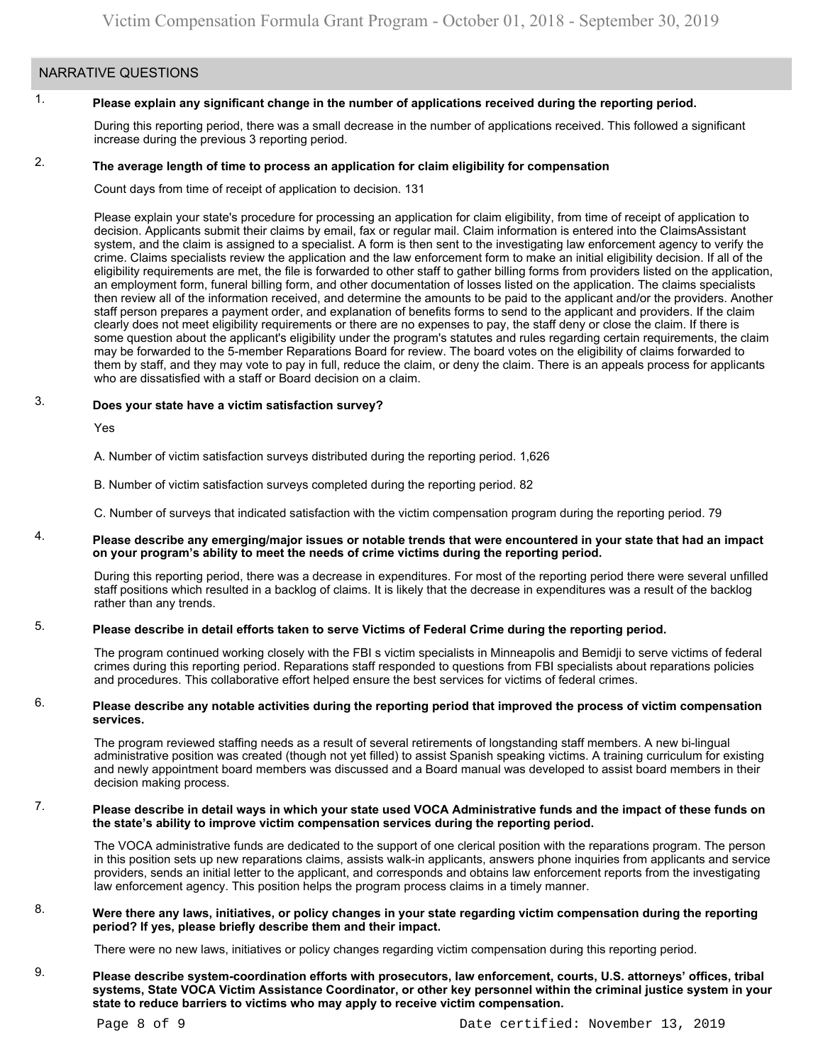## NARRATIVE QUESTIONS

#### 1. **Please explain any significant change in the number of applications received during the reporting period.**

During this reporting period, there was a small decrease in the number of applications received. This followed a significant increase during the previous 3 reporting period.

#### 2. **The average length of time to process an application for claim eligibility for compensation**

Count days from time of receipt of application to decision. 131

Please explain your state's procedure for processing an application for claim eligibility, from time of receipt of application to decision. Applicants submit their claims by email, fax or regular mail. Claim information is entered into the ClaimsAssistant system, and the claim is assigned to a specialist. A form is then sent to the investigating law enforcement agency to verify the crime. Claims specialists review the application and the law enforcement form to make an initial eligibility decision. If all of the eligibility requirements are met, the file is forwarded to other staff to gather billing forms from providers listed on the application, an employment form, funeral billing form, and other documentation of losses listed on the application. The claims specialists then review all of the information received, and determine the amounts to be paid to the applicant and/or the providers. Another staff person prepares a payment order, and explanation of benefits forms to send to the applicant and providers. If the claim clearly does not meet eligibility requirements or there are no expenses to pay, the staff deny or close the claim. If there is some question about the applicant's eligibility under the program's statutes and rules regarding certain requirements, the claim may be forwarded to the 5-member Reparations Board for review. The board votes on the eligibility of claims forwarded to them by staff, and they may vote to pay in full, reduce the claim, or deny the claim. There is an appeals process for applicants who are dissatisfied with a staff or Board decision on a claim.

#### 3. **Does your state have a victim satisfaction survey?**

Yes

A. Number of victim satisfaction surveys distributed during the reporting period. 1,626

B. Number of victim satisfaction surveys completed during the reporting period. 82

C. Number of surveys that indicated satisfaction with the victim compensation program during the reporting period. 79

### 4. **Please describe any emerging/major issues or notable trends that were encountered in your state that had an impact on your program's ability to meet the needs of crime victims during the reporting period.**

During this reporting period, there was a decrease in expenditures. For most of the reporting period there were several unfilled staff positions which resulted in a backlog of claims. It is likely that the decrease in expenditures was a result of the backlog rather than any trends.

#### 5. **Please describe in detail efforts taken to serve Victims of Federal Crime during the reporting period.**

The program continued working closely with the FBI s victim specialists in Minneapolis and Bemidji to serve victims of federal crimes during this reporting period. Reparations staff responded to questions from FBI specialists about reparations policies and procedures. This collaborative effort helped ensure the best services for victims of federal crimes.

### 6. **Please describe any notable activities during the reporting period that improved the process of victim compensation services.**

The program reviewed staffing needs as a result of several retirements of longstanding staff members. A new bi-lingual administrative position was created (though not yet filled) to assist Spanish speaking victims. A training curriculum for existing and newly appointment board members was discussed and a Board manual was developed to assist board members in their decision making process.

### 7. **Please describe in detail ways in which your state used VOCA Administrative funds and the impact of these funds on the state's ability to improve victim compensation services during the reporting period.**

The VOCA administrative funds are dedicated to the support of one clerical position with the reparations program. The person in this position sets up new reparations claims, assists walk-in applicants, answers phone inquiries from applicants and service providers, sends an initial letter to the applicant, and corresponds and obtains law enforcement reports from the investigating law enforcement agency. This position helps the program process claims in a timely manner.

### 8. **Were there any laws, initiatives, or policy changes in your state regarding victim compensation during the reporting period? If yes, please briefly describe them and their impact.**

There were no new laws, initiatives or policy changes regarding victim compensation during this reporting period.

9. **Please describe system-coordination efforts with prosecutors, law enforcement, courts, U.S. attorneys' offices, tribal systems, State VOCA Victim Assistance Coordinator, or other key personnel within the criminal justice system in your state to reduce barriers to victims who may apply to receive victim compensation.**